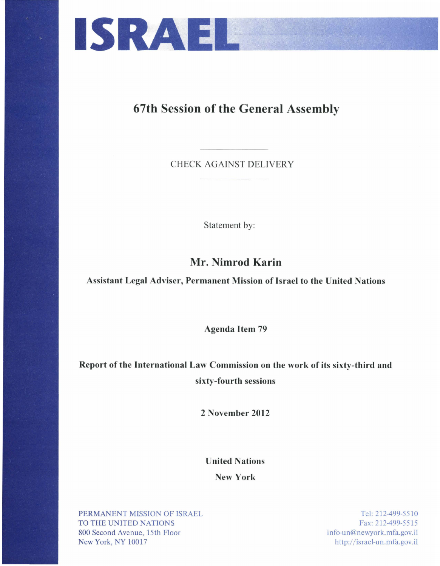

## 67th Session of the General Assembly

CHECK AGAINST DELIVERY

Statement by:

## Mr. Nimrod Karin

Assistant Legal Adviser, Permanent Mission of Israel to the United Nations

Agenda Item 79

**Report of the International Law Commission on the work of its sixty-third and sixty-fourth sessions** 

**2 November 2012** 

**United Nations** 

**New York** 

PERMANENT MISSION OF ISRAEL TO THE UNITED NATIONS 800 Second Avenue, 15th Floor New York, NY 10017

Tel: 212-499-5510 Fax: 212-499-5515 in fo-un@newyork.mfa.gov. ii http:/ / isracl-un.mfa.gov.il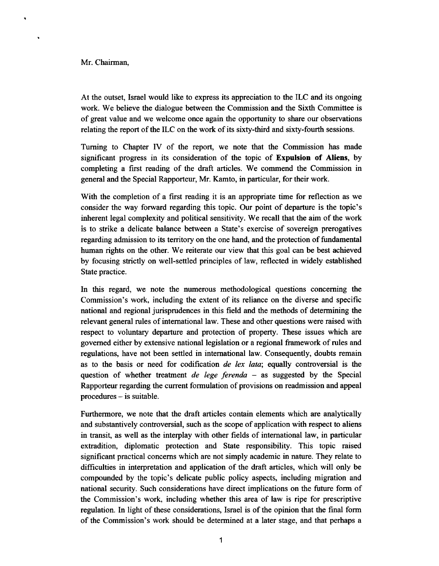## Mr. Chairman,

At the outset, Israel would like to express its appreciation to the ILC and its ongoing work. We believe the dialogue between the Commission and the Sixth Committee is of great value and we welcome once again the opportunity to share our observations relating the report of the ILC on the work of its sixty-third and sixty-fourth sessions.

Turning to Chapter IV of the report, we note that the Commission has made significant progress in its consideration of the topic of **Expulsion of Aliens,** by completing a first reading of the draft articles. We commend the Commission in general and the Special Rapporteur, Mr. Kamto, in particular, for their work.

With the completion of a first reading it is an appropriate time for reflection as we consider the way forward regarding this topic. Our point of departure is the topic's inherent legal complexity and political sensitivity. We recall that the aim of the work is to strike a delicate balance between a State's exercise of sovereign prerogatives regarding admission to its territory on the one hand, and the protection of fundamental human rights on the other. We reiterate our view that this goal can be best achieved by focusing strictly on well-settled principles of law, reflected in widely established State practice.

In this regard, we note the numerous methodological questions concerning the Commission's work, including the extent of its reliance on the diverse and specific national and regional jurisprudences in this field and the methods of determining the relevant general rules of international law. These and other questions were raised with respect to voluntary departure and protection of property. These issues which are governed either by extensive national legislation or a regional framework of rules and regulations, have not been settled in international law. Consequently, doubts remain as to the basis or need for codification *de /ex lata;* equally controversial is the question of whether treatment *de lege ferenda* - as suggested by the Special Rapporteur regarding the current formulation of provisions on readmission and appeal procedures - is suitable.

Furthermore, we note that the draft articles contain elements which are analytically and substantively controversial, such as the scope of application with respect to aliens in transit, as well as the interplay with other fields of international law, in particular extradition, diplomatic protection and State responsibility. This topic raised significant practical concerns which are not simply academic in nature. They relate to difficulties in interpretation and application of the draft articles, which will only be compounded by the topic's delicate public policy aspects, including migration and national security. Such considerations have direct implications on the future form of the Commission's work, including whether this area of law is ripe for prescriptive regulation. In light of these considerations, Israel is of the opinion that the final form of the Commission's work should be determined at a later stage, and that perhaps a